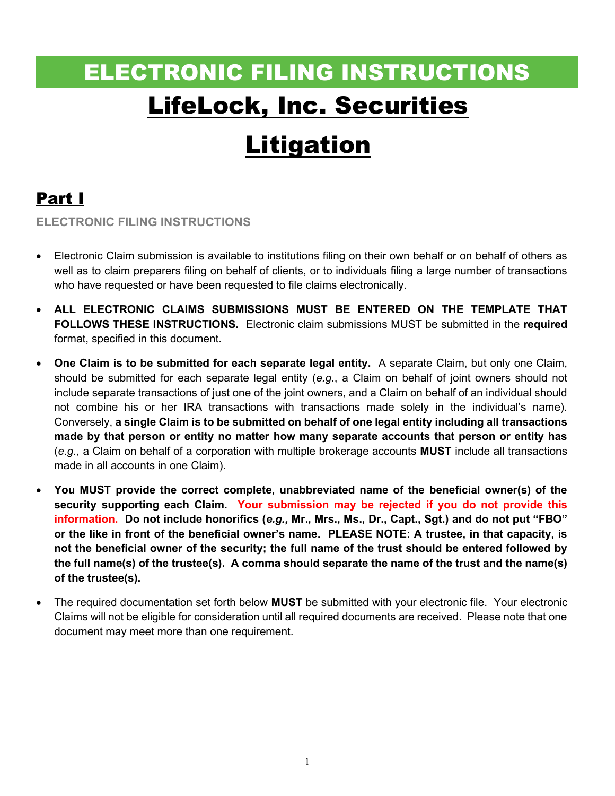# ELECTRONIC FILING INSTRUCTIONS LifeLock, Inc. Securities

## Litigation

## Part I

ELECTRONIC FILING INSTRUCTIONS

- Electronic Claim submission is available to institutions filing on their own behalf or on behalf of others as well as to claim preparers filing on behalf of clients, or to individuals filing a large number of transactions who have requested or have been requested to file claims electronically.
- ALL ELECTRONIC CLAIMS SUBMISSIONS MUST BE ENTERED ON THE TEMPLATE THAT FOLLOWS THESE INSTRUCTIONS. Electronic claim submissions MUST be submitted in the required format, specified in this document.
- One Claim is to be submitted for each separate legal entity. A separate Claim, but only one Claim, should be submitted for each separate legal entity (e.g., a Claim on behalf of joint owners should not include separate transactions of just one of the joint owners, and a Claim on behalf of an individual should not combine his or her IRA transactions with transactions made solely in the individual's name). Conversely, a single Claim is to be submitted on behalf of one legal entity including all transactions made by that person or entity no matter how many separate accounts that person or entity has  $(e.g., a Claim on behalf of a corporation with multiple brokerage accounts **MUST** include all transactions$ made in all accounts in one Claim).
- You MUST provide the correct complete, unabbreviated name of the beneficial owner(s) of the security supporting each Claim. Your submission may be rejected if you do not provide this information. Do not include honorifics (e.g., Mr., Mrs., Ms., Dr., Capt., Sgt.) and do not put "FBO" or the like in front of the beneficial owner's name. PLEASE NOTE: A trustee, in that capacity, is not the beneficial owner of the security; the full name of the trust should be entered followed by the full name(s) of the trustee(s). A comma should separate the name of the trust and the name(s) of the trustee(s).
- The required documentation set forth below MUST be submitted with your electronic file. Your electronic Claims will not be eligible for consideration until all required documents are received. Please note that one document may meet more than one requirement.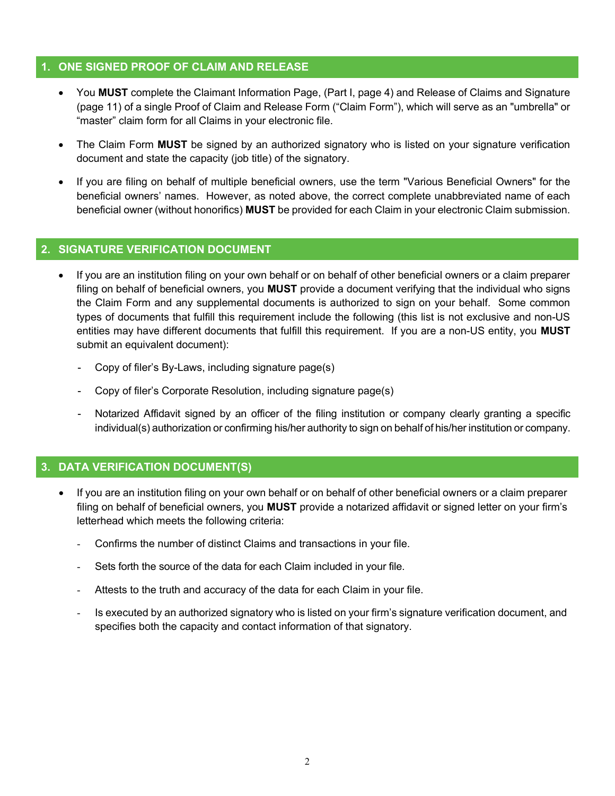#### 1. ONE SIGNED PROOF OF CLAIM AND RELEASE

- You MUST complete the Claimant Information Page, (Part I, page 4) and Release of Claims and Signature (page 11) of a single Proof of Claim and Release Form ("Claim Form"), which will serve as an "umbrella" or "master" claim form for all Claims in your electronic file.
- The Claim Form MUST be signed by an authorized signatory who is listed on your signature verification document and state the capacity (job title) of the signatory.
- If you are filing on behalf of multiple beneficial owners, use the term "Various Beneficial Owners" for the beneficial owners' names. However, as noted above, the correct complete unabbreviated name of each beneficial owner (without honorifics) MUST be provided for each Claim in your electronic Claim submission.

#### 2. SIGNATURE VERIFICATION DOCUMENT

- If you are an institution filing on your own behalf or on behalf of other beneficial owners or a claim preparer filing on behalf of beneficial owners, you **MUST** provide a document verifying that the individual who signs the Claim Form and any supplemental documents is authorized to sign on your behalf. Some common types of documents that fulfill this requirement include the following (this list is not exclusive and non-US entities may have different documents that fulfill this requirement. If you are a non-US entity, you MUST submit an equivalent document):
	- Copy of filer's By-Laws, including signature page(s)
	- Copy of filer's Corporate Resolution, including signature page(s)
	- Notarized Affidavit signed by an officer of the filing institution or company clearly granting a specific individual(s) authorization or confirming his/her authority to sign on behalf of his/her institution or company.

#### 3. DATA VERIFICATION DOCUMENT(S)

- If you are an institution filing on your own behalf or on behalf of other beneficial owners or a claim preparer filing on behalf of beneficial owners, you MUST provide a notarized affidavit or signed letter on your firm's letterhead which meets the following criteria:
	- Confirms the number of distinct Claims and transactions in your file.
	- Sets forth the source of the data for each Claim included in your file.
	- Attests to the truth and accuracy of the data for each Claim in your file.
	- Is executed by an authorized signatory who is listed on your firm's signature verification document, and specifies both the capacity and contact information of that signatory.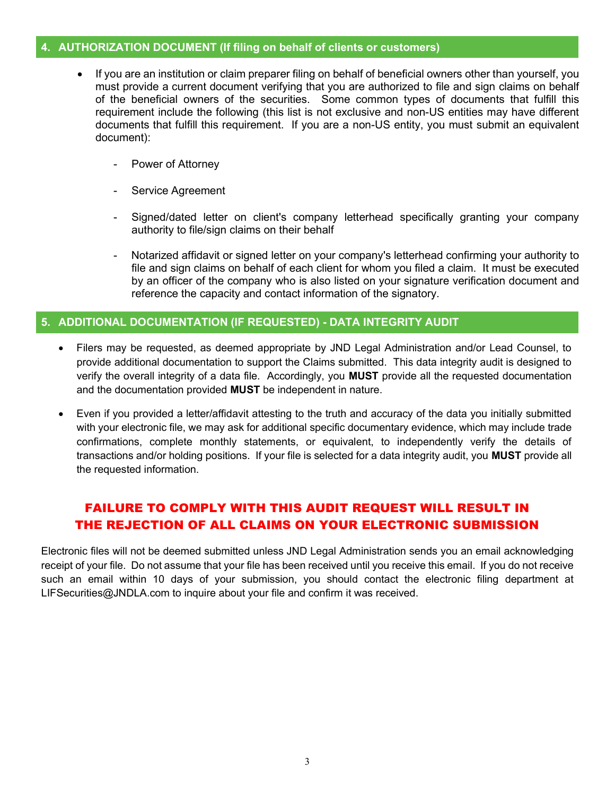#### 4. AUTHORIZATION DOCUMENT (If filing on behalf of clients or customers)

- If you are an institution or claim preparer filing on behalf of beneficial owners other than yourself, you must provide a current document verifying that you are authorized to file and sign claims on behalf of the beneficial owners of the securities. Some common types of documents that fulfill this requirement include the following (this list is not exclusive and non-US entities may have different documents that fulfill this requirement. If you are a non-US entity, you must submit an equivalent document):
	- Power of Attorney
	- Service Agreement
	- Signed/dated letter on client's company letterhead specifically granting your company authority to file/sign claims on their behalf
	- Notarized affidavit or signed letter on your company's letterhead confirming your authority to file and sign claims on behalf of each client for whom you filed a claim. It must be executed by an officer of the company who is also listed on your signature verification document and reference the capacity and contact information of the signatory.

#### 5. ADDITIONAL DOCUMENTATION (IF REQUESTED) - DATA INTEGRITY AUDIT

- Filers may be requested, as deemed appropriate by JND Legal Administration and/or Lead Counsel, to provide additional documentation to support the Claims submitted. This data integrity audit is designed to verify the overall integrity of a data file. Accordingly, you MUST provide all the requested documentation and the documentation provided MUST be independent in nature.
- Even if you provided a letter/affidavit attesting to the truth and accuracy of the data you initially submitted with your electronic file, we may ask for additional specific documentary evidence, which may include trade confirmations, complete monthly statements, or equivalent, to independently verify the details of transactions and/or holding positions. If your file is selected for a data integrity audit, you MUST provide all the requested information.

#### FAILURE TO COMPLY WITH THIS AUDIT REQUEST WILL RESULT IN THE REJECTION OF ALL CLAIMS ON YOUR ELECTRONIC SUBMISSION

Electronic files will not be deemed submitted unless JND Legal Administration sends you an email acknowledging receipt of your file. Do not assume that your file has been received until you receive this email. If you do not receive such an email within 10 days of your submission, you should contact the electronic filing department at LIFSecurities@JNDLA.com to inquire about your file and confirm it was received.